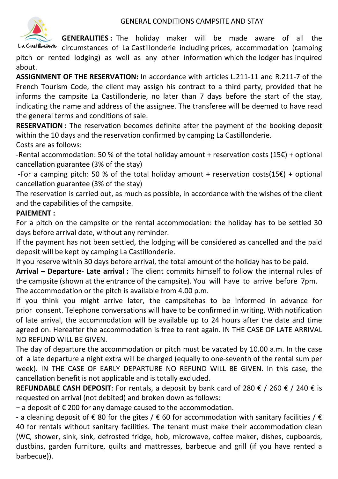

**GENERALITIES :** The holiday maker will be made aware of all the

La Castillonderie circumstances of La Castillonderie including prices, accommodation (camping pitch or rented lodging) as well as any other information which the lodger has inquired about.

**ASSIGNMENT OF THE RESERVATION:** In accordance with articles L.211-11 and R.211-7 of the French Tourism Code, the client may assign his contract to a third party, provided that he informs the campsite La Castillonderie, no later than 7 days before the start of the stay, indicating the name and address of the assignee. The transferee will be deemed to have read the general terms and conditions of sale.

**RESERVATION :** The reservation becomes definite after the payment of the booking deposit within the 10 days and the reservation confirmed by camping La Castillonderie.

Costs are as follows:

-Rental accommodation: 50 % of the total holiday amount + reservation costs  $(15)$  + optional cancellation guarantee (3% of the stay)

-For a camping pitch: 50 % of the total holiday amount + reservation costs(15 $\epsilon$ ) + optional cancellation guarantee (3% of the stay)

The reservation is carried out, as much as possible, in accordance with the wishes of the client and the capabilities of the campsite.

## **PAIEMENT :**

For a pitch on the campsite or the rental accommodation: the holiday has to be settled 30 days before arrival date, without any reminder.

If the payment has not been settled, the lodging will be considered as cancelled and the paid deposit will be kept by camping La Castillonderie.

If you reserve within 30 days before arrival, the total amount of the holiday has to be paid.

**Arrival – Departure- Late arrival :** The client commits himself to follow the internal rules of the campsite (shown at the entrance of the campsite). You will have to arrive before 7pm. The accommodation or the pitch is available from 4.00 p.m.

If you think you might arrive later, the campsitehas to be informed in advance for prior consent. Telephone conversations will have to be confirmed in writing. With notification of late arrival, the accommodation will be available up to 24 hours after the date and time agreed on. Hereafter the accommodation is free to rent again. IN THE CASE OF LATE ARRIVAL NO REFUND WILL BE GIVEN.

The day of departure the accommodation or pitch must be vacated by 10.00 a.m. In the case of a late departure a night extra will be charged (equally to one-seventh of the rental sum per week). IN THE CASE OF EARLY DEPARTURE NO REFUND WILL BE GIVEN. In this case, the cancellation benefit is not applicable and is totally excluded.

**REFUNDABLE CASH DEPOSIT:** For rentals, a deposit by bank card of 280 € / 260 € / 240 € is requested on arrival (not debited) and broken down as follows:

− a deposit of € 200 for any damage caused to the accommodation.

- a cleaning deposit of  $\epsilon$  80 for the gites /  $\epsilon$  60 for accommodation with sanitary facilities /  $\epsilon$ 40 for rentals without sanitary facilities. The tenant must make their accommodation clean (WC, shower, sink, sink, defrosted fridge, hob, microwave, coffee maker, dishes, cupboards, dustbins, garden furniture, quilts and mattresses, barbecue and grill (if you have rented a barbecue)).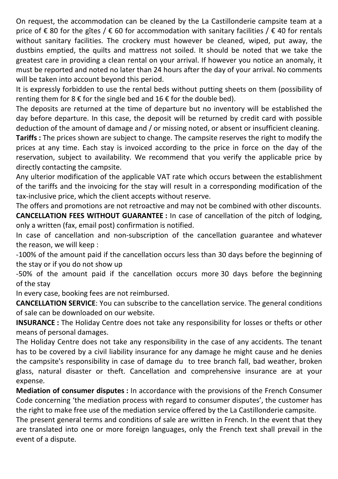On request, the accommodation can be cleaned by the La Castillonderie campsite team at a price of € 80 for the gîtes / € 60 for accommodation with sanitary facilities / € 40 for rentals without sanitary facilities. The crockery must however be cleaned, wiped, put away, the dustbins emptied, the quilts and mattress not soiled. It should be noted that we take the greatest care in providing a clean rental on your arrival. If however you notice an anomaly, it must be reported and noted no later than 24 hours after the day of your arrival. No comments will be taken into account beyond this period.

It is expressly forbidden to use the rental beds without putting sheets on them (possibility of renting them for  $8 \notin$  for the single bed and  $16 \notin$  for the double bed).

The deposits are returned at the time of departure but no inventory will be established the day before departure. In this case, the deposit will be returned by credit card with possible deduction of the amount of damage and / or missing noted, or absent or insufficient cleaning.

**Tariffs :** The prices shown are subject to change. The campsite reserves the right to modify the prices at any time. Each stay is invoiced according to the price in force on the day of the reservation, subject to availability. We recommend that you verify the applicable price by directly contacting the campsite.

Any ulterior modification of the applicable VAT rate which occurs between the establishment of the tariffs and the invoicing for the stay will result in a corresponding modification of the tax-inclusive price, which the client accepts without reserve.

The offers and promotions are not retroactive and may not be combined with other discounts.

**CANCELLATION FEES WITHOUT GUARANTEE :** In case of cancellation of the pitch of lodging, only a written (fax, email post) confirmation is notified.

In case of cancellation and non-subscription of the cancellation guarantee and whatever the reason, we will keep :

-100% of the amount paid if the cancellation occurs less than 30 days before the beginning of the stay or if you do not show up

-50% of the amount paid if the cancellation occurs more 30 days before the beginning of the stay

In every case, booking fees are not reimbursed.

**CANCELLATION SERVICE**: You can subscribe to the cancellation service. The general conditions of sale can be downloaded on our website.

**INSURANCE :** The Holiday Centre does not take any responsibility for losses or thefts or other means of personal damages.

The Holiday Centre does not take any responsibility in the case of any accidents. The tenant has to be covered by a civil liability insurance for any damage he might cause and he denies the campsite's responsibility in case of damage du to tree branch fall, bad weather, broken glass, natural disaster or theft. Cancellation and comprehensive insurance are at your expense.

**Mediation of consumer disputes :** In accordance with the provisions of the French Consumer Code concerning 'the mediation process with regard to consumer disputes', the customer has the right to make free use of the mediation service offered by the La Castillonderie campsite.

The present general terms and conditions of sale are written in French. In the event that they are translated into one or more foreign languages, only the French text shall prevail in the event of a dispute.